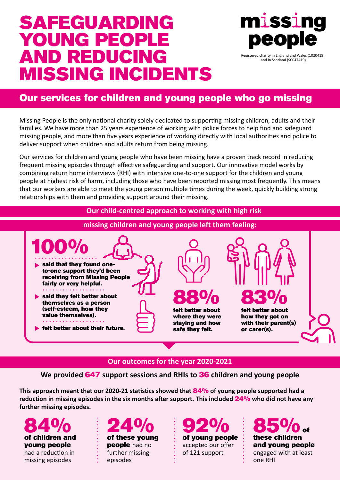# SAFEGUARDING YOUNG PEOPLE AND REDUCING MISSING INCIDENTS



and in Scotland (SC047419)

# Our services for children and young people who go missing

Missing People is the only national charity solely dedicated to supporting missing children, adults and their families. We have more than 25 years experience of working with police forces to help find and safeguard missing people, and more than five years experience of working directly with local authorities and police to deliver support when children and adults return from being missing.

Our services for children and young people who have been missing have a proven track record in reducing frequent missing episodes through effective safeguarding and support. Our innovative model works by combining return home interviews (RHI) with intensive one-to-one support for the children and young people at highest risk of harm, including those who have been reported missing most frequently. This means that our workers are able to meet the young person multiple times during the week, quickly building strong relationships with them and providing support around their missing.

## **Our child-centred approach to working with high risk**



# **missing children and young people left them feeling:**

# **Our outcomes for the year 2020-2021**

**We provided** 647 **support sessions and RHIs to** 36 **children and young people**

**This approach meant that our 2020-21 statistics showed that** 84% **of young people supported had a reduction in missing episodes in the six months after support. This included** 24% **who did not have any further missing episodes.**

of children and 84% young people had a reduction in missing episodes





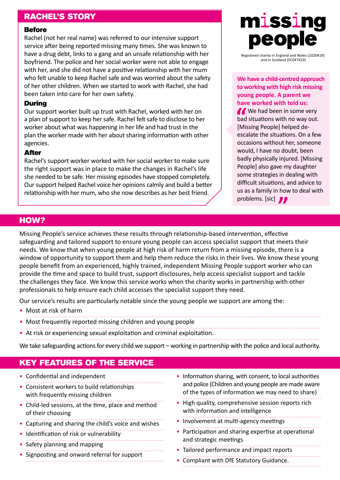# RACHEL'S STORY

#### **Before**

Rachel (not her real name) was referred to our intensive support service after being reported missing many times. She was known to have a drug debt, links to a gang and an unsafe relationship with her boyfriend. The police and her social worker were not able to engage with her, and she did not have a positive relationship with her mum who felt unable to keep Rachel safe and was worried about the safety of her other children. When we started to work with Rachel, she had been taken into care for her own safety.

#### During

Our support worker built up trust with Rachel, worked with her on a plan of support to keep her safe. Rachel felt safe to disclose to her worker about what was happening in her life and had trust in the plan the worker made with her about sharing information with other agencies.

#### After

Rachel's support worker worked with her social worker to make sure the right support was in place to make the changes in Rachel's life she needed to be safe. Her missing episodes have stopped completely. Our support helped Rachel voice her opinions calmly and build a better relationship with her mum, who she now describes as her best friend.



Registered charity in England and Wales (1020419) and in Scotland (SC047419)

#### **We have a child-centred approach to working with high risk missing young people. A parent we have worked with told us:**

We had been in some very bad situations with no way out. [Missing People] helped deescalate the situations. On a few occasions without her, someone would, I have no doubt, been badly physically injured. [Missing People] also gave my daughter some strategies in dealing with difficult situations, and advice to us as a family in how to deal with problems. [sic]

## HOW?

Missing People's service achieves these results through relationship-based intervention, effective safeguarding and tailored support to ensure young people can access specialist support that meets their needs. We know that when young people at high risk of harm return from a missing episode, there is a window of opportunity to support them and help them reduce the risks in their lives. We know these young people benefit from an experienced, highly trained, independent Missing People support worker who can provide the time and space to build trust, support disclosures, help access specialist support and tackle the challenges they face. We know this service works when the charity works in partnership with other professionals to help ensure each child accesses the specialist support they need.

Our service's results are particularly notable since the young people we support are among the:

- Most at risk of harm
- Most frequently reported missing children and young people
- At risk or experiencing sexual exploitation and criminal exploitation.
- 

We take safeguarding actions for every child we support – working in partnership with the police and local authority.

# KEY FEATURES OF THE SERVICE

- Confidential and independent
- Consistent workers to build relationships with frequently missing children
- Child-led sessions, at the time, place and method of their choosing
- Capturing and sharing the child's voice and wishes
- Identification of risk or vulnerability
- Safety planning and mapping
- Signposting and onward referral for support
- Information sharing, with consent, to local authorities and police (Children and young people are made aware of the types of information we may need to share)
- High quality, comprehensive session reports rich with information and intelligence
- Involvement at multi-agency meetings
- Participation and sharing expertise at operational and strategic meetings
- Tailored performance and impact reports
- Compliant with DfE Statutory Guidance.